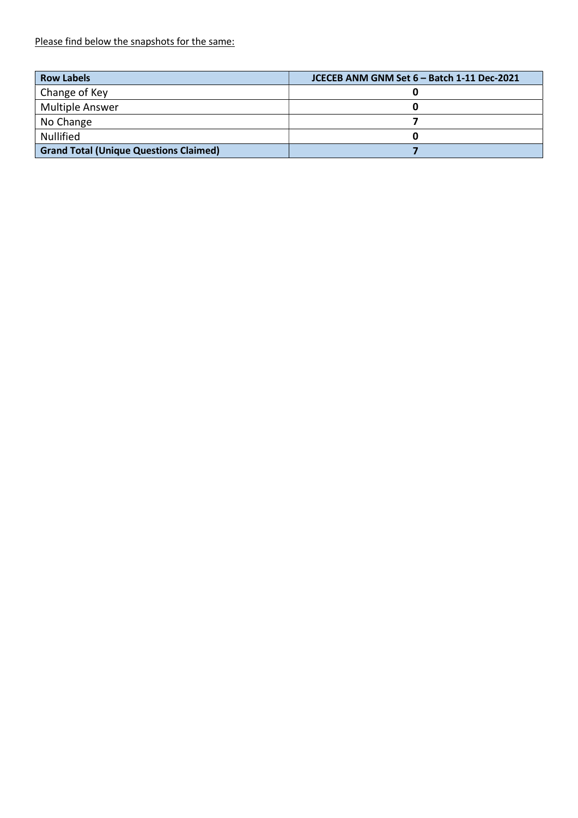Please find below the snapshots for the same:

| <b>Row Labels</b>                             | JCECEB ANM GNM Set 6 - Batch 1-11 Dec-2021 |
|-----------------------------------------------|--------------------------------------------|
| Change of Key                                 |                                            |
| <b>Multiple Answer</b>                        |                                            |
| No Change                                     |                                            |
| <b>Nullified</b>                              |                                            |
| <b>Grand Total (Unique Questions Claimed)</b> |                                            |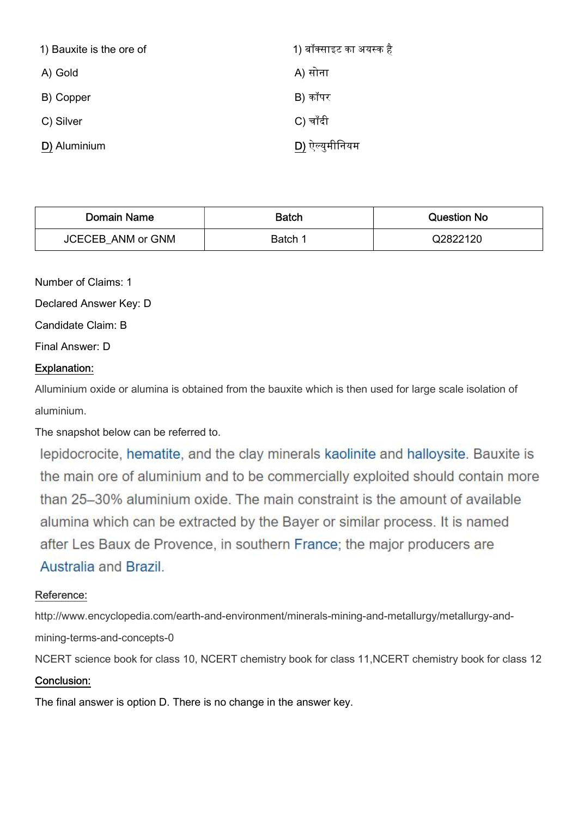| 1) Bauxite is the ore of | 1) बॉक्साइट का अयस्क है |
|--------------------------|-------------------------|
| A) Gold                  | A) सोना                 |
| B) Copper                | B) कॉपर                 |
| C) Silver                | C) चाँदी                |
| D) Aluminium             | D) ऐल्युमीनियम          |

| Domain Name              | <b>Batch</b> | Question No |
|--------------------------|--------------|-------------|
| <b>JCECEB ANM or GNM</b> | Batch 1      | Q2822120    |

Number of Claims: 1

Declared Answer Key: D

Candidate Claim: B

Final Answer: D

## Explanation:

Alluminium oxide or alumina is obtained from the bauxite which is then used for large scale isolation of aluminium.

The snapshot below can be referred to.

lepidocrocite, hematite, and the clay minerals kaolinite and halloysite. Bauxite is the main ore of aluminium and to be commercially exploited should contain more than 25–30% aluminium oxide. The main constraint is the amount of available alumina which can be extracted by the Bayer or similar process. It is named after Les Baux de Provence, in southern France; the major producers are Australia and Brazil.

### Reference:

http://www.encyclopedia.com/earth-and-environment/minerals-mining-and-metallurgy/metallurgy-andmining-terms-and-concepts-0

NCERT science book for class 10, NCERT chemistry book for class 11,NCERT chemistry book for class 12

## Conclusion:

The final answer is option D. There is no change in the answer key.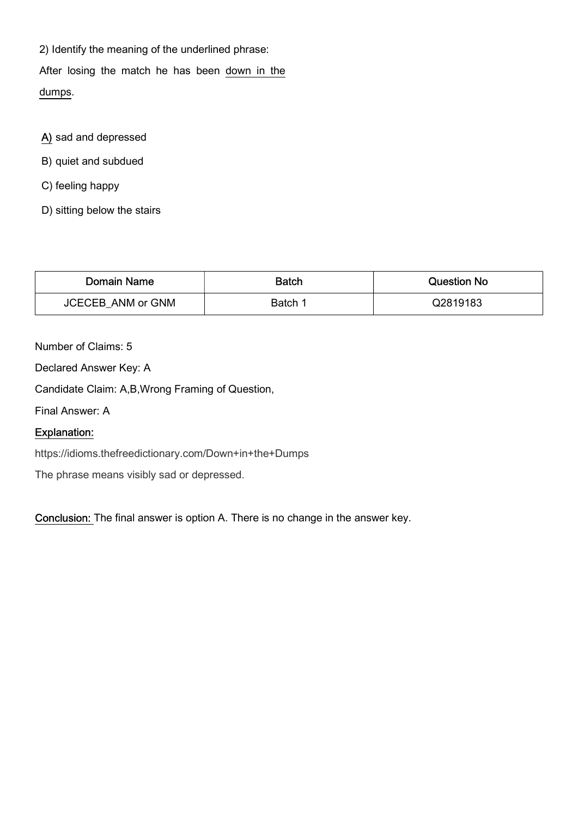2) Identify the meaning of the underlined phrase: After losing the match he has been down in the

dumps.

- A) sad and depressed
- B) quiet and subdued
- C) feeling happy
- D) sitting below the stairs

| Domain Name       | <b>Batch</b> | <b>Question No</b> |
|-------------------|--------------|--------------------|
| JCECEB ANM or GNM | Batch 1      | Q2819183           |

Number of Claims: 5

Declared Answer Key: A

Candidate Claim: A,B,Wrong Framing of Question,

Final Answer: A

# Explanation:

https://idioms.thefreedictionary.com/Down+in+the+Dumps

The phrase means visibly sad or depressed.

Conclusion: The final answer is option A. There is no change in the answer key.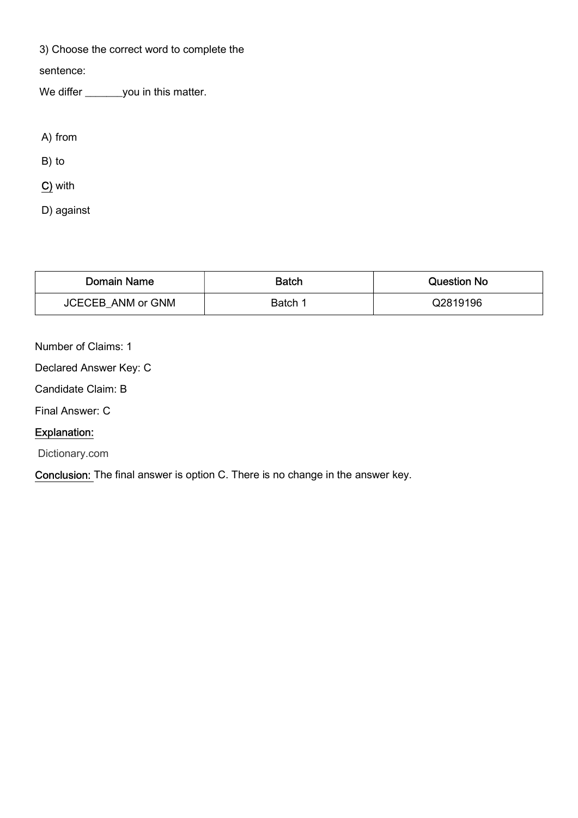3) Choose the correct word to complete the

sentence:

We differ \_\_\_\_\_\_\_you in this matter.

A) from

B) to

C) with

D) against

| Domain Name       | <b>Batch</b> | <b>Question No</b> |
|-------------------|--------------|--------------------|
| JCECEB ANM or GNM | Batch 1      | Q2819196           |

Number of Claims: 1

Declared Answer Key: C

Candidate Claim: B

Final Answer: C

# Explanation:

Dictionary.com

Conclusion: The final answer is option C. There is no change in the answer key.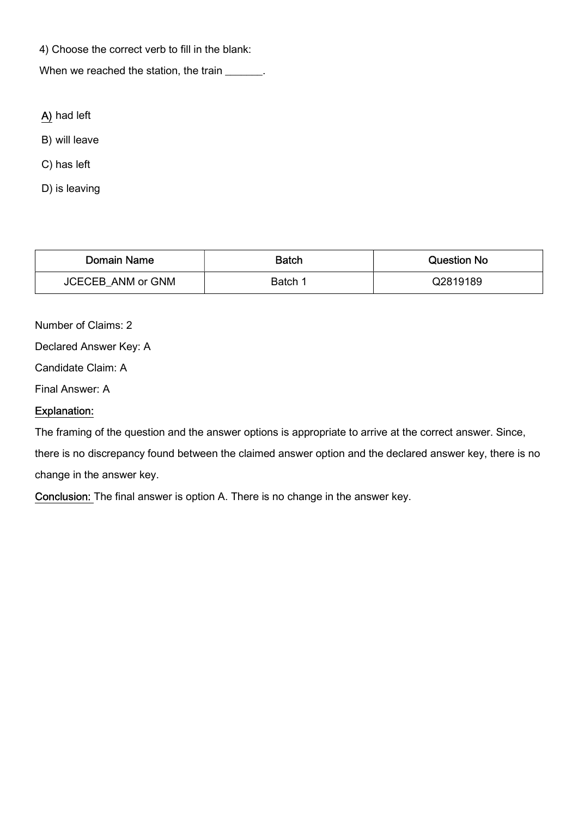4) Choose the correct verb to fill in the blank:

When we reached the station, the train \_\_\_\_\_\_.

- A) had left
- B) will leave
- C) has left
- D) is leaving

| <b>Domain Name</b>       | <b>Batch</b> | <b>Question No</b> |
|--------------------------|--------------|--------------------|
| <b>JCECEB ANM or GNM</b> | Batch 1      | Q2819189           |

Number of Claims: 2

Declared Answer Key: A

Candidate Claim: A

Final Answer: A

### Explanation:

The framing of the question and the answer options is appropriate to arrive at the correct answer. Since,

there is no discrepancy found between the claimed answer option and the declared answer key, there is no change in the answer key.

Conclusion: The final answer is option A. There is no change in the answer key.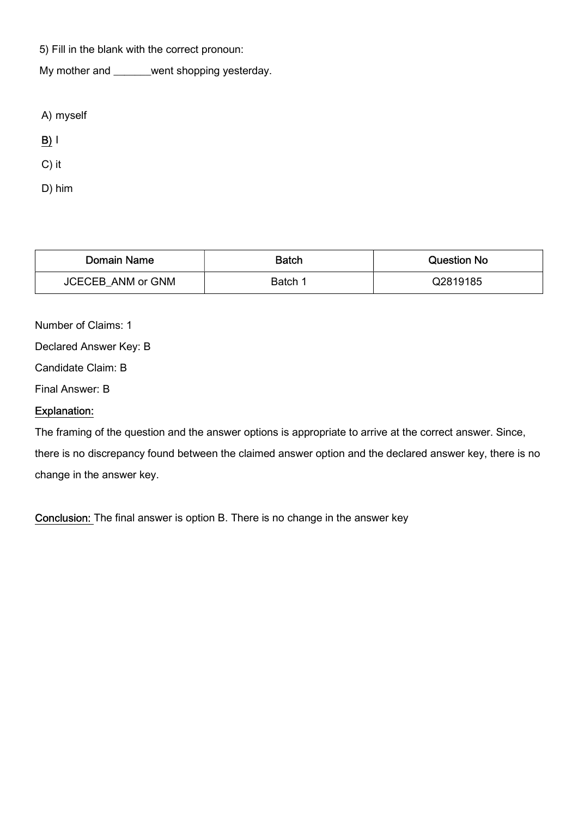5) Fill in the blank with the correct pronoun:

My mother and \_\_\_\_\_\_\_went shopping yesterday.

A) myself

 $B)$  |

C) it

D) him

| Domain Name              | Batch   | Question No |
|--------------------------|---------|-------------|
| <b>JCECEB ANM or GNM</b> | Batch 1 | Q2819185    |

Number of Claims: 1

Declared Answer Key: B

Candidate Claim: B

Final Answer: B

### Explanation:

The framing of the question and the answer options is appropriate to arrive at the correct answer. Since,

there is no discrepancy found between the claimed answer option and the declared answer key, there is no change in the answer key.

Conclusion: The final answer is option B. There is no change in the answer key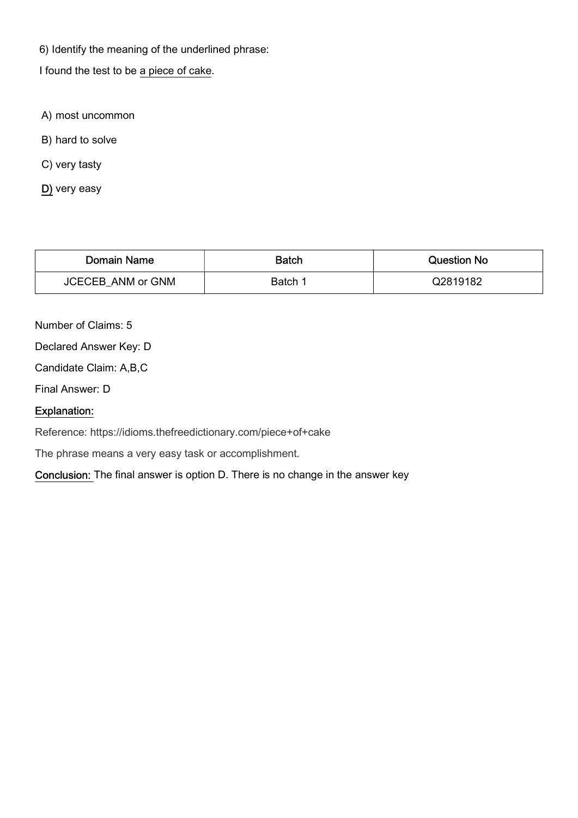6) Identify the meaning of the underlined phrase:

I found the test to be a piece of cake.

- A) most uncommon
- B) hard to solve
- C) very tasty
- D) very easy

| Domain Name              | <b>Batch</b> | Question No |
|--------------------------|--------------|-------------|
| <b>JCECEB ANM or GNM</b> | Batch 1      | Q2819182    |

Number of Claims: 5

Declared Answer Key: D

Candidate Claim: A,B,C

Final Answer: D

### Explanation:

Reference: https://idioms.thefreedictionary.com/piece+of+cake

The phrase means a very easy task or accomplishment.

Conclusion: The final answer is option D. There is no change in the answer key